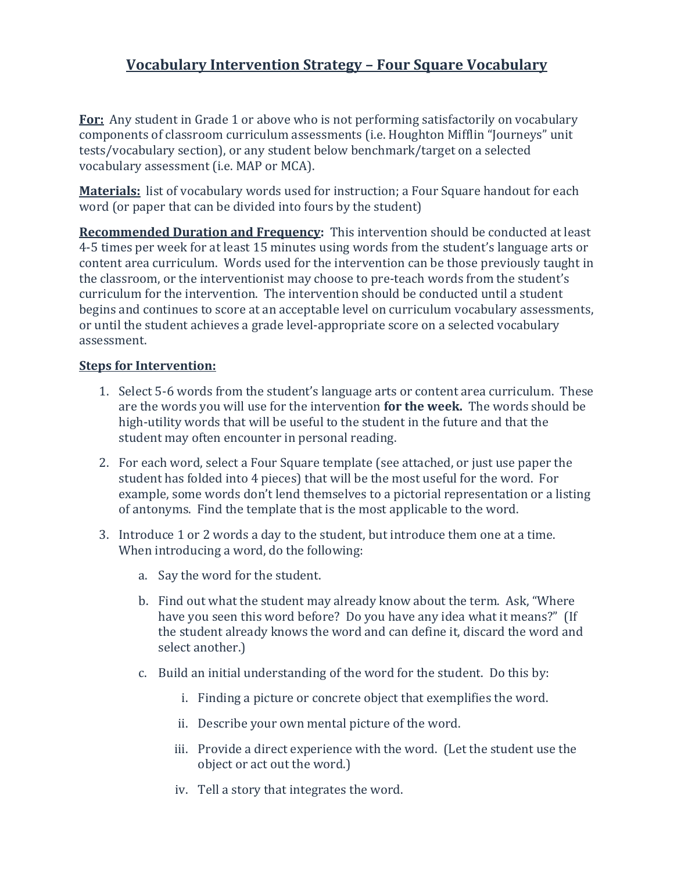## **Vocabulary Intervention Strategy – Four Square Vocabulary**

**For:** Any student in Grade 1 or above who is not performing satisfactorily on vocabulary components of classroom curriculum assessments (i.e. Houghton Mifflin "Journeys" unit tests/vocabulary section), or any student below benchmark/target on a selected vocabulary assessment (i.e. MAP or MCA).

**Materials:** list of vocabulary words used for instruction; a Four Square handout for each word (or paper that can be divided into fours by the student)

**Recommended Duration and Frequency:** This intervention should be conducted at least 4-5 times per week for at least 15 minutes using words from the student's language arts or content area curriculum. Words used for the intervention can be those previously taught in the classroom, or the interventionist may choose to pre-teach words from the student's curriculum for the intervention. The intervention should be conducted until a student begins and continues to score at an acceptable level on curriculum vocabulary assessments, or until the student achieves a grade level-appropriate score on a selected vocabulary assessment.

## **Steps for Intervention:**

- 1. Select 5-6 words from the student's language arts or content area curriculum. These are the words you will use for the intervention **for the week.** The words should be high-utility words that will be useful to the student in the future and that the student may often encounter in personal reading.
- 2. For each word, select a Four Square template (see attached, or just use paper the student has folded into 4 pieces) that will be the most useful for the word. For example, some words don't lend themselves to a pictorial representation or a listing of antonyms. Find the template that is the most applicable to the word.
- 3. Introduce 1 or 2 words a day to the student, but introduce them one at a time. When introducing a word, do the following:
	- a. Say the word for the student.
	- b. Find out what the student may already know about the term. Ask, "Where have you seen this word before? Do you have any idea what it means?" (If the student already knows the word and can define it, discard the word and select another.)
	- c. Build an initial understanding of the word for the student. Do this by:
		- i. Finding a picture or concrete object that exemplifies the word.
		- ii. Describe your own mental picture of the word.
		- iii. Provide a direct experience with the word. (Let the student use the object or act out the word.)
		- iv. Tell a story that integrates the word.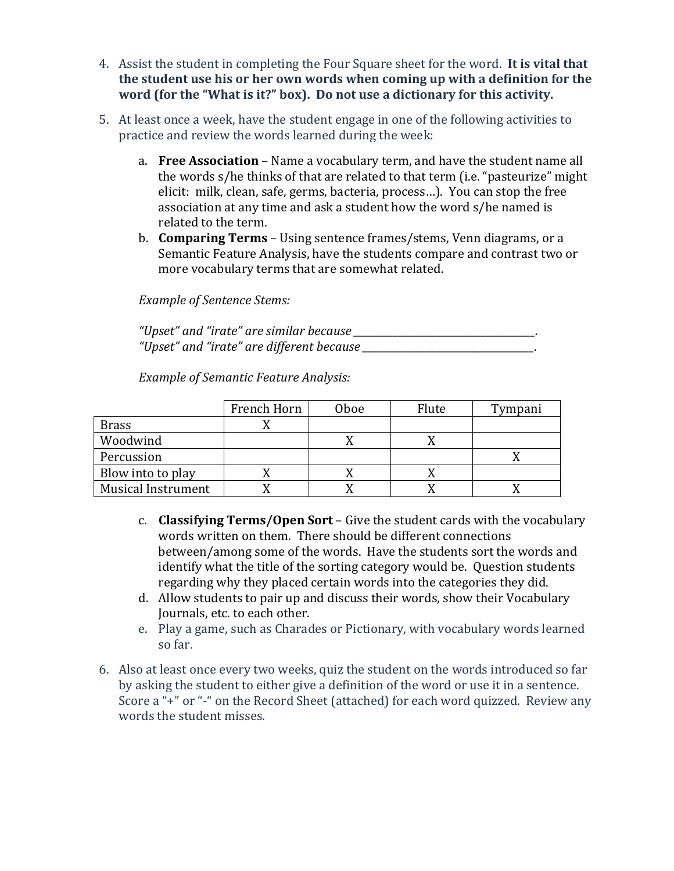- 4. Assist the student in completing the Four Square sheet for the word. **It is vital that the student use his or her own words when coming up with a definition for the word (for the "What is it?" box). Do not use a dictionary for this activity.**
- 5. At least once a week, have the student engage in one of the following activities to practice and review the words learned during the week:
	- a. **Free Association** Name a vocabulary term, and have the student name all the words s/he thinks of that are related to that term (i.e. "pasteurize" might elicit: milk, clean, safe, germs, bacteria, process…). You can stop the free association at any time and ask a student how the word s/he named is related to the term.
	- b. **Comparing Terms** Using sentence frames/stems, Venn diagrams, or a Semantic Feature Analysis, have the students compare and contrast two or more vocabulary terms that are somewhat related.

*Example of Sentence Stems:*

*"Upset" and "irate" are similar because \_\_\_\_\_\_\_\_\_\_\_\_\_\_\_\_\_\_\_\_\_\_\_\_\_\_\_\_\_\_\_\_\_\_\_\_\_. "Upset" and "irate" are different because \_\_\_\_\_\_\_\_\_\_\_\_\_\_\_\_\_\_\_\_\_\_\_\_\_\_\_\_\_\_\_\_\_\_\_.*

*Example of Semantic Feature Analysis:*

|                           | French Horn | <b>Oboe</b> | Flute | Tympani |
|---------------------------|-------------|-------------|-------|---------|
| <b>Brass</b>              |             |             |       |         |
| Woodwind                  |             |             |       |         |
| Percussion                |             |             |       |         |
| Blow into to play         |             |             |       |         |
| <b>Musical Instrument</b> |             |             |       |         |

- c. **Classifying Terms/Open Sort** Give the student cards with the vocabulary words written on them. There should be different connections between/among some of the words. Have the students sort the words and identify what the title of the sorting category would be. Question students regarding why they placed certain words into the categories they did.
- d. Allow students to pair up and discuss their words, show their Vocabulary Journals, etc. to each other.
- e. Play a game, such as Charades or Pictionary, with vocabulary words learned so far.
- 6. Also at least once every two weeks, quiz the student on the words introduced so far by asking the student to either give a definition of the word or use it in a sentence. Score a "+" or "-" on the Record Sheet (attached) for each word quizzed. Review any words the student misses.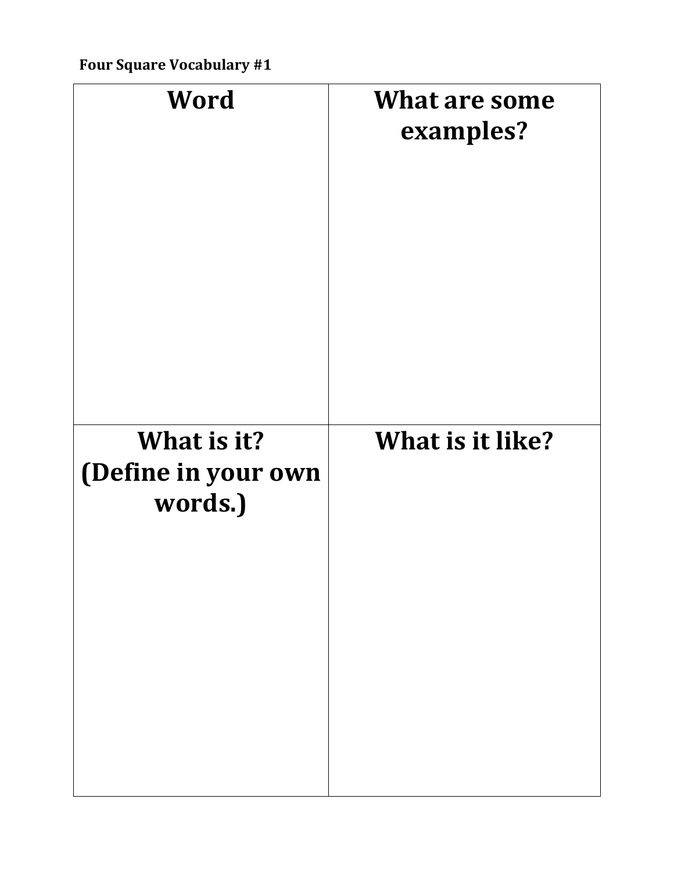| Word                                          | <b>What are some</b><br>examples? |
|-----------------------------------------------|-----------------------------------|
| What is it?<br>(Define in your own<br>words.) | What is it like?                  |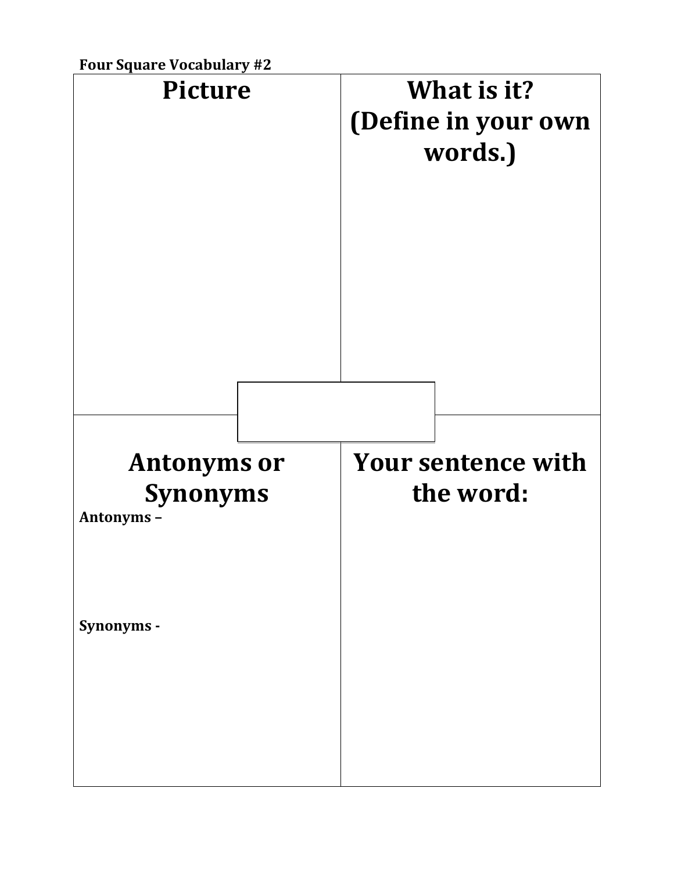

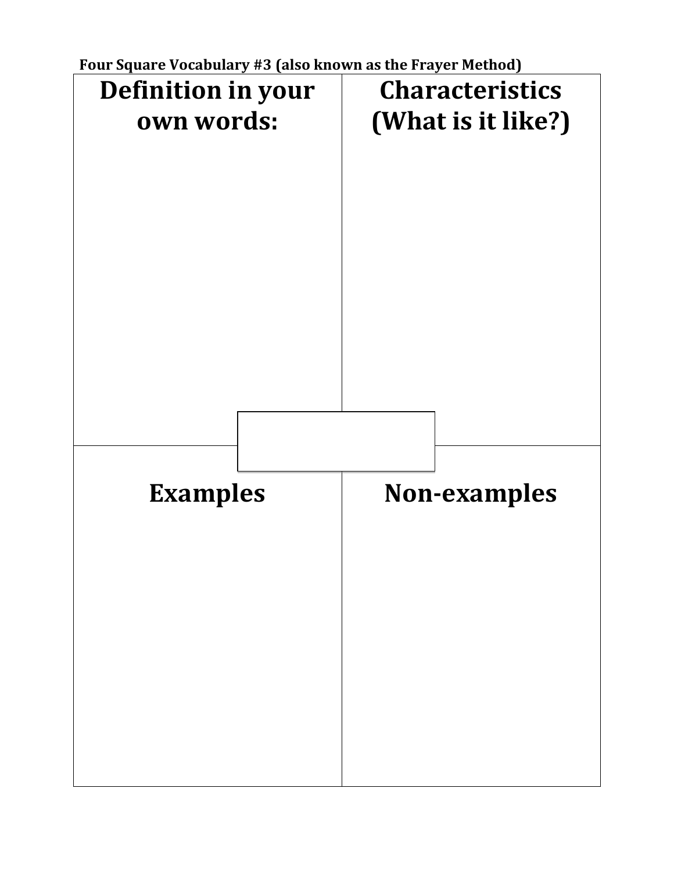**Four Square Vocabulary #3 (also known as the Frayer Method)**

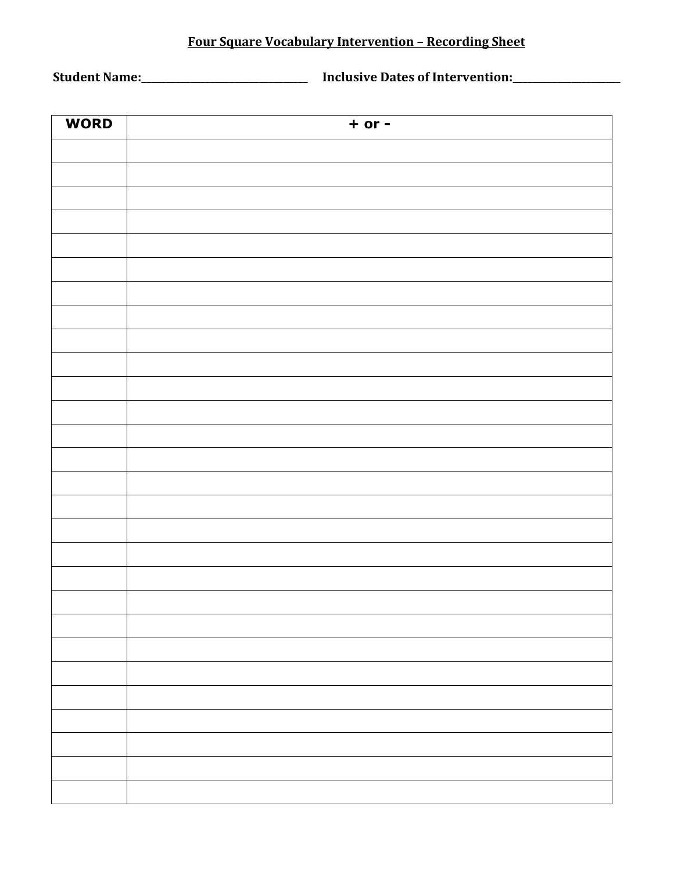## **Four Square Vocabulary Intervention – Recording Sheet**

**Student Name:\_\_\_\_\_\_\_\_\_\_\_\_\_\_\_\_\_\_\_\_\_\_\_\_\_\_\_\_\_\_\_\_\_\_ Inclusive Dates of Intervention:\_\_\_\_\_\_\_\_\_\_\_\_\_\_\_\_\_\_\_\_\_\_**

| <b>WORD</b> | $+$ or $-$ |
|-------------|------------|
|             |            |
|             |            |
|             |            |
|             |            |
|             |            |
|             |            |
|             |            |
|             |            |
|             |            |
|             |            |
|             |            |
|             |            |
|             |            |
|             |            |
|             |            |
|             |            |
|             |            |
|             |            |
|             |            |
|             |            |
|             |            |
|             |            |
|             |            |
|             |            |
|             |            |
|             |            |
|             |            |
|             |            |